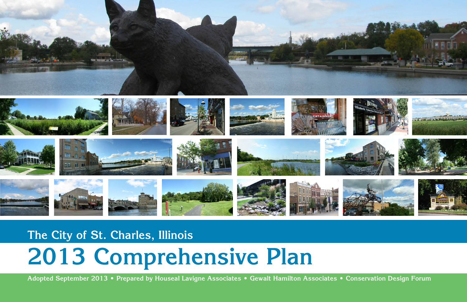

# **The City of St. Charles, Illinois 2013 Comprehensive Plan**

**Adopted September 2013 • Prepared by Houseal Lavigne Associates • Gewalt Hamilton Associates • Conservation Design Forum**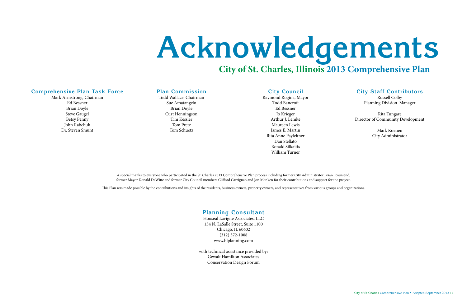# **City of St. Charles, Illinois 2013 Comprehensive Plan Acknowledgements**

#### **Comprehensive Plan Task Force**

Mark Armstrong, Chairman Ed Bessner Brian Doyle Steve Gaugel Betsy Penny John Rabchuk Dr. Steven Smunt

#### **Plan Commission**

Todd Wallace, Chairman Sue Amatangelo Brian Doyle Curt Henningson Tim Kessler Tom Pretz Tom Schuetz

#### **City Council**

Raymond Rogina, Mayor Todd Bancroft Ed Bessner Jo Krieger Arthur J. Lemke Maureen Lewis James E. Martin Rita Anne Payleitner Dan Stellato Ronald Silkaitis William Turner

### **City Staff Contributors**

Russell Colby Planning Division Manager

Rita Tungare Director of Community Development

> Mark Koenen City Administrator

#### **Planning Consultant**

Houseal Lavigne Associates, LLC 134 N. LaSalle Street, Suite 1100 Chicago, IL 60602 (312) 372-1008 www.hlplanning.com

with technical assistance provided by: Gewalt Hamilton Associates Conservation Design Forum

A special thanks to everyone who participated in the St. Charles 2013 Comprehensive Plan process including former City Administrator Brian Townsend, former Mayor Donald DeWitte and former City Council members Clifford Carrignan and Jon Monken for their contributions and support for the project.

This Plan was made possible by the contributions and insights of the residents, business owners, property owners, and representatives from various groups and organizations.